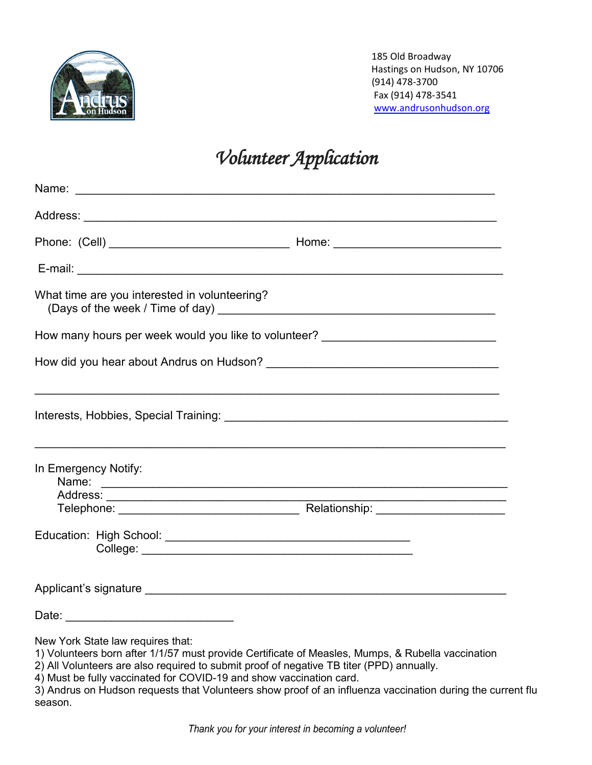

 185 Old Broadway Hastings on Hudson, NY 10706 (914) 478-3700 Fax (914) 478-3541 [www.andrusonhudson.org](http://www.andrusonhudson.org/)

## *Volunteer Application*

| What time are you interested in volunteering?                                                                                          |  |
|----------------------------------------------------------------------------------------------------------------------------------------|--|
| How many hours per week would you like to volunteer? ___________________________                                                       |  |
|                                                                                                                                        |  |
|                                                                                                                                        |  |
| In Emergency Notify:                                                                                                                   |  |
|                                                                                                                                        |  |
|                                                                                                                                        |  |
|                                                                                                                                        |  |
|                                                                                                                                        |  |
| New York State law requires that:<br>1) Volunteers born after 1/1/57 must provide Certificate of Measles, Mumps, & Rubella vaccination |  |

- 2) All Volunteers are also required to submit proof of negative TB titer (PPD) annually.
- 4) Must be fully vaccinated for COVID-19 and show vaccination card.
- 3) Andrus on Hudson requests that Volunteers show proof of an influenza vaccination during the current flu season.